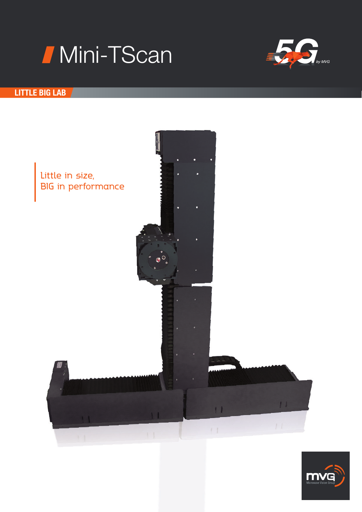



# LITTLE BIG LAB



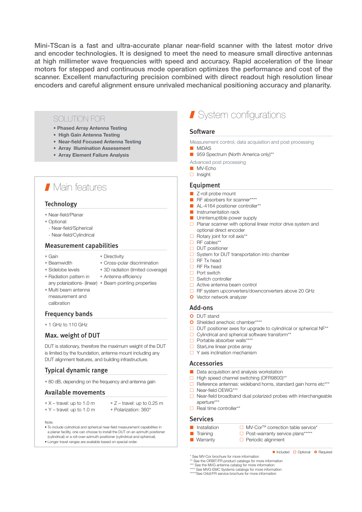Mini-TScan is a fast and ultra-accurate planar near-field scanner with the latest motor drive and encoder technologies. It is designed to meet the need to measure small directive antennas at high millimeter wave frequencies with speed and accuracy. Rapid acceleration of the linear motors for stepped and continuous mode operation optimizes the performance and cost of the scanner. Excellent manufacturing precision combined with direct readout high resolution linear encoders and careful alignment ensure unrivaled mechanical positioning accuracy and planarity.

## SOLUTION FOR

- Phased Array Antenna Testing
- High Gain Antenna Testing
- Near-field Focused Antenna Testing
- Array Illumination Assessment
- Array Element Failure Analysis

# **Nain features**

### **Technology**

- Near-field/Planar
- Optional:
- Near-field/Spherical
- Near-field/Cylindrical

#### Measurement capabilities

- Gain Directivity
	-
- Beamwidth Cross-polar discrimination
- Sidelobe levels 3D radiation (limited coverage)
- Radiation pattern in Antenna efficiency
	- any polarizations- (linear) Beam pointing properties
- Multi beam antenna measurement and
	-
- calibration

## Frequency bands

• 1 GHz to 110 GHz

# Max. weight of DUT

DUT is stationary, therefore the maximum weight of the DUT is limited by the foundation, antenna mount including any DUT alignment features, and building infrastructure.

### Typical dynamic range

• 80 dB, depending on the frequency and antenna gain

#### Available movements

- $X$  travel: up to 1.0 m  $Z$  travel: up to 0.25 m
- Y travel: up to 1.0 m Polarization: 360°
- Note:
- To include cylindrical and spherical near-field measurement capabilities in a planar facility, one can choose to install the DUT on an azimuth positioner (cylindrical) or a roll-over-azimuth positioner (cylindrical and spherical).
- Longer travel ranges are available based on special order.

# System configurations

### Software

- Measurement control, data acquisition and post processing
- MiDAS
- 959 Spectrum (North America only)\*\*
- Advanced post processing
- MV-Fcho
- $\Box$  Insight

#### Equipment

- Z-roll probe mount
- RF absorbers for scanner\*\*\*\*
- AL-4164 positioner controller\*\*
- **■** Instrumentation rack
- Uninterruptible power supply
- $\Box$  Planar scanner with optional linear motor drive system and optional direct encoder
- $\Box$  Rotary joint for roll axis\*\*
- $\Box$  RF cables\*\*
- DUT positioner
- $\Box$  System for DUT transportation into chamber
- □ RF Tx head
- $\Box$  RF Rx head
- $\Box$  Port switch
- $\Box$  Switch controller
- □ Active antenna beam control
- □ RF system upconverters/downconverters above 20 GHz
- **O** Vector network analyzer

## Add-ons

- **O** DUT stand
- **O** Shielded anechoic chamber\*\*\*\*
- $\Box$  DUT positioner axes for upgrade to cylindrical or spherical NF\*\*
- □ Cylindrical and spherical software transform\*\*
- □ Portable absorber walls\*\*\*\*
- □ StarLine linear probe array
- $\Box$  Y axis inclination mechanism

### Accessories

- Data acquisition and analysis workstation
- □ High speed channel switching (OFR9800)\*\*
- Reference antennas: wideband horns, standard gain horns etc\*\*\* □ Near-field OEWG\*\*\*
- 
- $\Box$  Near-field broadband dual polarized probes with interchangeable aperture\*\*\*
- $\Box$  Real time controller\*\*

### **Services**

- Installation MV-CorTM correction table service\*
- Training and D Post-warranty service plans\*\*\*\*
- Warranty D Periodic alignment

\* See MV-Cor brochure for more information See the ORBIT/FR product catalogs for more information

\*\*\* See the MVG antenna catalog for more information

\*\*\*\* See MVG-EMC Systems catalogs for more information

\*\*\*\*\*See Orbit/FR service brochure for more information

Included **O** Optional **O** Required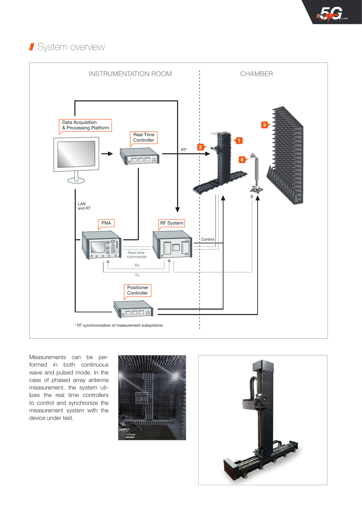# **System overview**



Measurements can be performed in both continuous wave and pulsed mode. In the case of phased array antenna measurement, the system utilizes the real time controllers to control and synchronize the measurement system with the device under test.